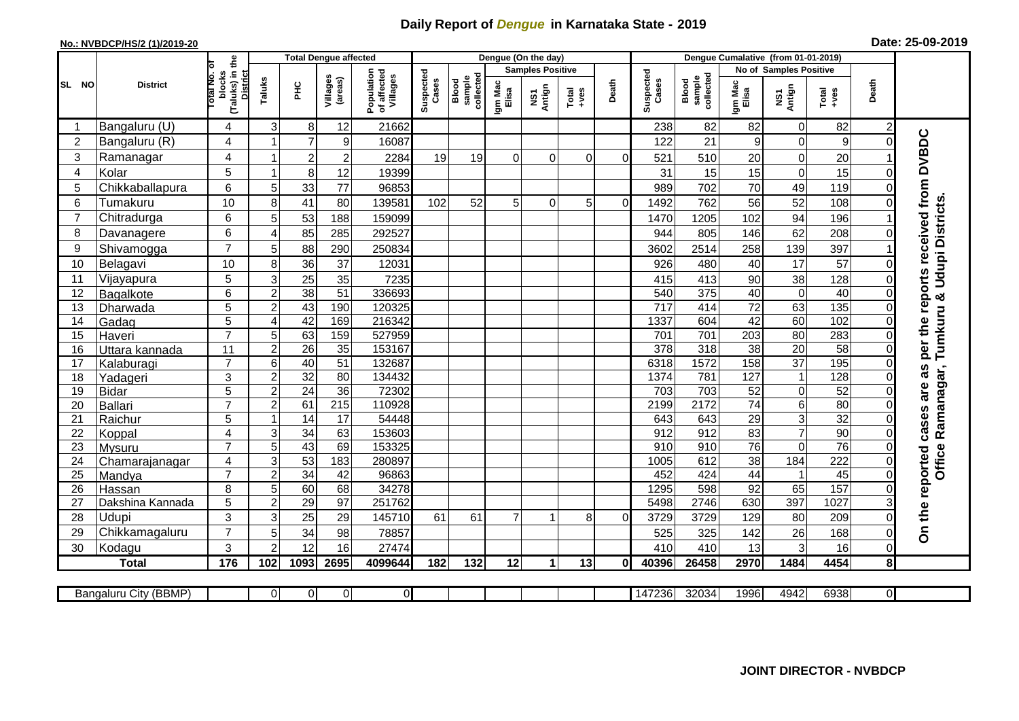## **Daily Report of** *Dengue* **in Karnataka State - 2019**

## **No.: NVBDCP/HS/2 (1)/2019-20 Date: 25-09-2019**

|                |                            |                                                              | <b>Total Dengue affected</b> |                 |                     |                                       |                    |                              | Dengue (On the day) |                         |                  |          |                    |                              |                       |                               |                        |                      |                                     |
|----------------|----------------------------|--------------------------------------------------------------|------------------------------|-----------------|---------------------|---------------------------------------|--------------------|------------------------------|---------------------|-------------------------|------------------|----------|--------------------|------------------------------|-----------------------|-------------------------------|------------------------|----------------------|-------------------------------------|
|                |                            |                                                              |                              |                 |                     |                                       |                    |                              |                     | <b>Samples Positive</b> |                  |          |                    |                              |                       | <b>No of Samples Positive</b> |                        |                      |                                     |
| SL NO          | <b>District</b>            | (Taluks) in the<br>Total No. of<br>blocks<br><b>District</b> | Taluks                       | Ξ               | Villages<br>(areas) | Population<br>of affected<br>Villages | Suspected<br>Cases | collected<br>sample<br>Blood | Igm Mac<br>Elisa    | NS1<br>Antign           | Total<br>$+ve$ s | Death    | Suspected<br>Cases | collected<br>sample<br>Blood | Igm Mac<br>Elisa      | NS1<br>Antign                 | Total<br>+ves          | Death                |                                     |
|                | Bangaluru (U)              | 4                                                            | 3                            | 8               | 12                  | 21662                                 |                    |                              |                     |                         |                  |          | 238                | 82                           | 82                    | $\mathbf 0$                   | 82                     | $\overline{2}$       |                                     |
| $\overline{2}$ | Bangaluru (R)              | 4                                                            | $\overline{\mathbf{1}}$      | $\overline{7}$  | 9                   | 16087                                 |                    |                              |                     |                         |                  |          | 122                | 21                           | 9                     | $\mathbf 0$                   | $\boldsymbol{9}$       | $\Omega$             |                                     |
| 3              | Ramanagar                  | 4                                                            | 1                            | $\overline{c}$  | $\overline{2}$      | 2284                                  | 19                 | 19                           | $\Omega$            | $\Omega$                | $\Omega$         | $\Omega$ | 521                | 510                          | 20                    | 0                             | 20                     |                      | per the reports received from DVBDC |
| 4              | Kolar                      | 5                                                            | -1                           | 8 <sup>1</sup>  | 12                  | 19399                                 |                    |                              |                     |                         |                  |          | 31                 | 15                           | 15                    | $\mathbf 0$                   | 15                     | 0                    |                                     |
| 5              | Chikkaballapura            | 6                                                            | 5                            | 33              | 77                  | 96853                                 |                    |                              |                     |                         |                  |          | 989                | 702                          | 70                    | 49                            | 119                    | $\Omega$             |                                     |
| 6              | Tumakuru                   | 10                                                           | 8                            | 41              | 80                  | 139581                                | 102                | 52                           | 5 <sup>1</sup>      | $\Omega$                | 5                | $\Omega$ | 1492               | 762                          | 56                    | 52                            | 108                    | 0                    |                                     |
| $\overline{7}$ | Chitradurga                | 6                                                            | 5                            | 53              | 188                 | 159099                                |                    |                              |                     |                         |                  |          | 1470               | 1205                         | 102                   | 94                            | 196                    |                      |                                     |
| 8              | Davanagere                 | 6                                                            | 4                            | 85              | 285                 | 292527                                |                    |                              |                     |                         |                  |          | 944                | 805                          | 146                   | 62                            | 208                    | $\Omega$             |                                     |
| 9              | Shivamogga                 | $\overline{7}$                                               | 5                            | 88              | 290                 | 250834                                |                    |                              |                     |                         |                  |          | 3602               | 2514                         | 258                   | 139                           | 397                    |                      | Udupi Districts                     |
| 10             | Belagavi                   | 10                                                           | 8                            | 36              | 37                  | 12031                                 |                    |                              |                     |                         |                  |          | 926                | 480                          | 40                    | 17                            | 57                     | 0                    |                                     |
| 11             | Vijayapura                 | 5                                                            | 3                            | 25              | 35                  | 7235                                  |                    |                              |                     |                         |                  |          | 415                | 413                          | 90                    | 38                            | 128                    | 0                    |                                     |
| 12             | Bagalkote                  | 6                                                            | $\overline{2}$               | 38              | $\overline{51}$     | 336693                                |                    |                              |                     |                         |                  |          | 540                | $\overline{375}$             | 40                    | $\overline{0}$                | 40                     | $\Omega$             |                                     |
| 13             | Dharwada                   | $\overline{5}$                                               | $\overline{2}$               | 43              | 190                 | 120325                                |                    |                              |                     |                         |                  |          | 717                | 414                          | $\overline{72}$       | 63                            | 135                    | 0                    | Tumkuru &                           |
| 14             | Gadag                      | $\overline{5}$                                               | $\overline{A}$               | 42              | 169                 | 216342                                |                    |                              |                     |                         |                  |          | 1337               | 604                          | 42                    | 60                            | 102                    | 0                    |                                     |
| 15             | Haveri                     | $\overline{7}$                                               | 5                            | 63              | 159                 | 527959                                |                    |                              |                     |                         |                  |          | 701                | 701                          | 203                   | 80                            | 283                    | 0                    |                                     |
| 16             | Uttara kannada             | 11                                                           | $\overline{2}$               | 26              | 35                  | 153167                                |                    |                              |                     |                         |                  |          | 378                | 318                          | $\overline{38}$       | $\overline{20}$               | 58                     | $\Omega$             |                                     |
| 17             | Kalaburagi                 | $\overline{7}$                                               | 6                            | 40              | $\overline{51}$     | 132687                                |                    |                              |                     |                         |                  |          | 6318               | 1572                         | 158                   | $\overline{37}$               | 195                    | $\Omega$             | 8g                                  |
| 18             | Yadageri                   | 3                                                            | $\overline{c}$               | 32              | 80                  | 134432                                |                    |                              |                     |                         |                  |          | 1374               | 781                          | 127                   | $\mathbf{1}$                  | 128                    | 0                    |                                     |
| 19             | <b>Bidar</b>               | $\overline{5}$                                               | $\overline{2}$               | $\overline{24}$ | 36                  | 72302                                 |                    |                              |                     |                         |                  |          | 703                | 703                          | 52                    | $\mathbf 0$                   | $\overline{52}$        | $\Omega$             | are                                 |
| 20             | <b>Ballari</b>             | $\overline{7}$                                               | $\overline{c}$               | 61              | $\overline{215}$    | 110928                                |                    |                              |                     |                         |                  |          | 2199               | 2172                         | $\overline{74}$       | 6                             | 80                     | 0                    |                                     |
| 21             | Raichur                    | 5                                                            |                              | $\overline{14}$ | $\overline{17}$     | 54448                                 |                    |                              |                     |                         |                  |          | 643                | 643                          | $\overline{29}$       | $\overline{3}$                | $\overline{32}$        | $\Omega$             | Ramanagar,                          |
| 22             | Koppal                     | 4                                                            | 3                            | 34              | 63                  | 153603                                |                    |                              |                     |                         |                  |          | 912                | 912                          | 83                    | $\overline{7}$                | 90                     | 0                    |                                     |
| 23             | Mysuru                     | $\overline{7}$                                               | 5                            | 43              | 69                  | 153325                                |                    |                              |                     |                         |                  |          | 910                | 910                          | 76                    | $\overline{0}$                | 76                     | $\Omega$             | Office                              |
| 24             | Chamarajanagar             | 4<br>$\overline{7}$                                          | 3                            | 53              | 183                 | 280897                                |                    |                              |                     |                         |                  |          | 1005               | 612                          | $\overline{38}$       | 184                           | 222                    | 0                    |                                     |
| 25<br>26       | Mandya                     | 8                                                            | $\overline{2}$<br>5          | 34<br>60        | 42<br>68            | 96863<br>34278                        |                    |                              |                     |                         |                  |          | 452<br>1295        | 424<br>598                   | $\overline{44}$<br>92 | $\mathbf{1}$<br>65            | $\overline{45}$<br>157 | $\Omega$<br>$\Omega$ |                                     |
| 27             | Hassan<br>Dakshina Kannada | 5                                                            | $\overline{2}$               | 29              | 97                  | 251762                                |                    |                              |                     |                         |                  |          | 5498               | 2746                         | 630                   | 397                           | 1027                   | 3                    |                                     |
| 28             | Udupi                      | 3                                                            | 3                            | 25              | 29                  | 145710                                | 61                 | 61                           | $\overline{7}$      | 1                       | 8                | $\Omega$ | 3729               | 3729                         | 129                   | 80                            | 209                    | $\Omega$             |                                     |
| 29             | Chikkamagaluru             | $\overline{7}$                                               | 5                            | 34              | 98                  | 78857                                 |                    |                              |                     |                         |                  |          | 525                | 325                          | 142                   | 26                            | 168                    | $\Omega$             | On the reported cases               |
| 30             | Kodagu                     | 3                                                            | $\overline{2}$               | 12              | 16                  | 27474                                 |                    |                              |                     |                         |                  |          | 410                | 410                          | 13                    | 3                             | 16                     | 0                    |                                     |
|                | <b>Total</b>               | 176                                                          | 102                          | 1093            | 2695                | 4099644                               | 182                | 132                          | 12                  | $\mathbf{1}$            | 13               | ΩI       | 40396              | 26458                        | 2970                  | 1484                          | 4454                   | 8 <sup>1</sup>       |                                     |
|                |                            |                                                              |                              |                 |                     |                                       |                    |                              |                     |                         |                  |          |                    |                              |                       |                               |                        |                      |                                     |
|                | Bangaluru City (BBMP)      |                                                              | $\Omega$                     | 0               | $\overline{0}$      | $\overline{0}$                        |                    |                              |                     |                         |                  |          | 147236             | 32034                        | 1996                  | 4942                          | 6938                   | ΟI                   |                                     |